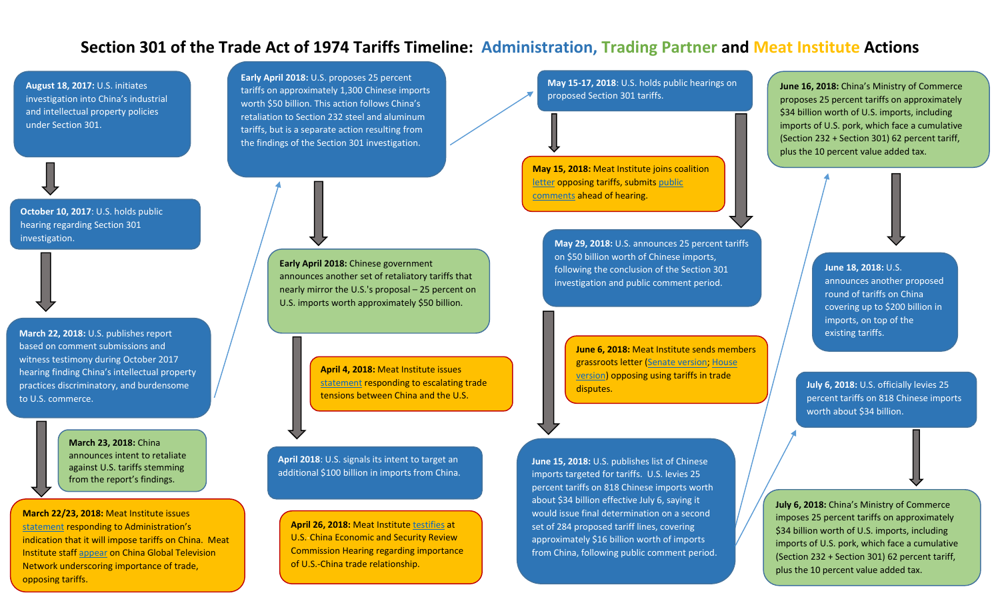**August 18, 2017:** U.S. initiates investigation into China's industrial and intellectual property policies under Section 301.

**October 10, 2017**: U.S. holds public hearing regarding Section 301 investigation.

**March 22, 2018:** U.S. publishes report based on comment submissions and witness testimony during October 2017 hearing finding China's intellectual property practices discriminatory, and burdensome to U.S. commerce.

> **March 23, 2018:** China announces intent to retaliate against U.S. tariffs stemming from the report's findings.

Administration's proposal –

**March 22/23, 2018:** Meat Institute issues statement responding to Administration's indication that it will impose tariffs on China. Meat Institute staff appear on China Global Television Network underscoring importance of trade, opposing tariffs.

**Early April 2018:** U.S. proposes 25 percent tariffs on approximately 1,300 Chinese imports worth \$50 billion. This action follows China's retaliation to Section 232 steel and aluminum tariffs, but is a separate action resulting from the findings of the Section 301 investigation.

**May 15-17, 2018**: U.S. holds public hearings on proposed Section 301 tariffs.

**May 15, 2018:** Meat Institute joins coalition letter opposing tariffs, submits public comments ahead of hearing.

**May 29, 2018:** U.S. announces 25 percent tariffs on \$50 billion worth of Chinese imports, following the conclusion of the Section 301 investigation and public comment period.

> **June 6, 2018:** Meat Institute sends members grassroots letter (Senate version; House version) opposing using tariffs in trade disputes.

**June 15, 2018:** U.S. publishes list of Chinese imports targeted for tariffs. U.S. levies 25 percent tariffs on 818 Chinese imports worth about \$34 billion effective July 6, saying it would issue final determination on a second set of 284 proposed tariff lines, covering approximately \$16 billion worth of imports from China, following public comment period. **June 16, 2018:** China's Ministry of Commerce proposes 25 percent tariffs on approximately \$34 billion worth of U.S. imports, including imports of U.S. pork, which face a cumulative (Section 232 + Section 301) 62 percent tariff, plus the 10 percent value added tax.

> **June 18, 2018:** U.S. announces another proposed round of tariffs on China covering up to \$200 billion in imports, on top of the existing tariffs.

**July 6, 2018:** U.S. officially levies 25 percent tariffs on 818 Chinese imports worth about \$34 billion.

**July 6, 2018:** China's Ministry of Commerce imposes 25 percent tariffs on approximately \$34 billion worth of U.S. imports, including imports of U.S. pork, which face a cumulative (Section 232 + Section 301) 62 percent tariff, plus the 10 percent value added tax.

**Early April 2018:** Chinese government announces another set of retaliatory tariffs that nearly mirror the U.S.'s proposal – 25 percent on U.S. imports worth approximately \$50 billion.

> **April 4, 2018:** Meat Institute issues statement responding to escalating trade tensions between China and the U.S.

**April 2018**: U.S. signals its intent to target an additional \$100 billion in imports from China.

**April 26, 2018:** Meat Institute testifies at U.S.-China Economic and Security Review Commission Hearing regarding importance of U.S.-China trade relationship.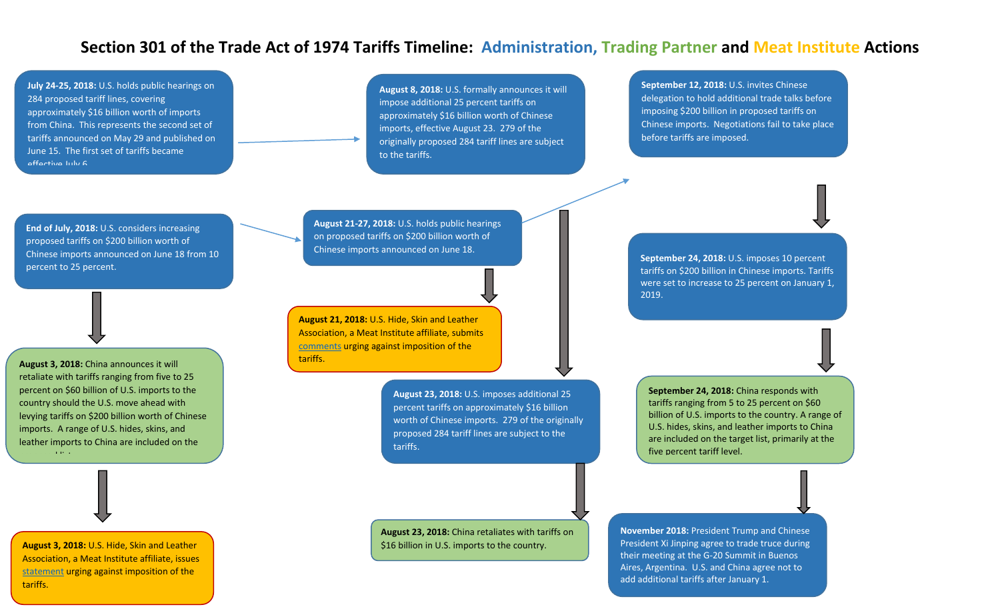**July 24-25, 2018:** U.S. holds public hearings on 284 proposed tariff lines, covering approximately \$16 billion worth of imports from China. This represents the second set of tariffs announced on May 29 and published on June 15. The first set of tariffs became effective July 6.

**August 8, 2018:** U.S. formally announces it will impose additional 25 percent tariffs on approximately \$16 billion worth of Chinese imports, effective August 23. 279 of the originally proposed 284 tariff lines are subject to the tariffs.

**September 12, 2018:** U.S. invites Chinese delegation to hold additional trade talks before imposing \$200 billion in proposed tariffs on Chinese imports. Negotiations fail to take place before tariffs are imposed.

**End of July, 2018:** U.S. considers increasing proposed tariffs on \$200 billion worth of Chinese imports announced on June 18 from 10 percent to 25 percent.

**August 3, 2018:** China announces it will retaliate with tariffs ranging from five to 25 percent on \$60 billion of U.S. imports to the country should the U.S. move ahead with levying tariffs on \$200 billion worth of Chinese imports. A range of U.S. hides, skins, and leather imports to China are included on the

proposed list.

**August 3, 2018:** U.S. Hide, Skin and Leather Association, a Meat Institute affiliate, issues statement urging against imposition of the tariffs.

**August 21-27, 2018:** U.S. holds public hearings on proposed tariffs on \$200 billion worth of Chinese imports announced on June 18.

**August 21, 2018:** U.S. Hide, Skin and Leather Association, a Meat Institute affiliate, submits comments urging against imposition of the tariffs.

> **August 23, 2018:** U.S. imposes additional 25 percent tariffs on approximately \$16 billion worth of Chinese imports. 279 of the originally proposed 284 tariff lines are subject to the tariffs.

**August 23, 2018:** China retaliates with tariffs on \$16 billion in U.S. imports to the country.

**September 24, 2018:** U.S. imposes 10 percent tariffs on \$200 billion in Chinese imports. Tariffs were set to increase to 25 percent on January 1, 2019.

**September 24, 2018:** China responds with tariffs ranging from 5 to 25 percent on \$60 billion of U.S. imports to the country. A range of U.S. hides, skins, and leather imports to China are included on the target list, primarily at the five percent tariff level.

**November 2018:** President Trump and Chinese President Xi Jinping agree to trade truce during their meeting at the G-20 Summit in Buenos Aires, Argentina. U.S. and China agree not to add additional tariffs after January 1.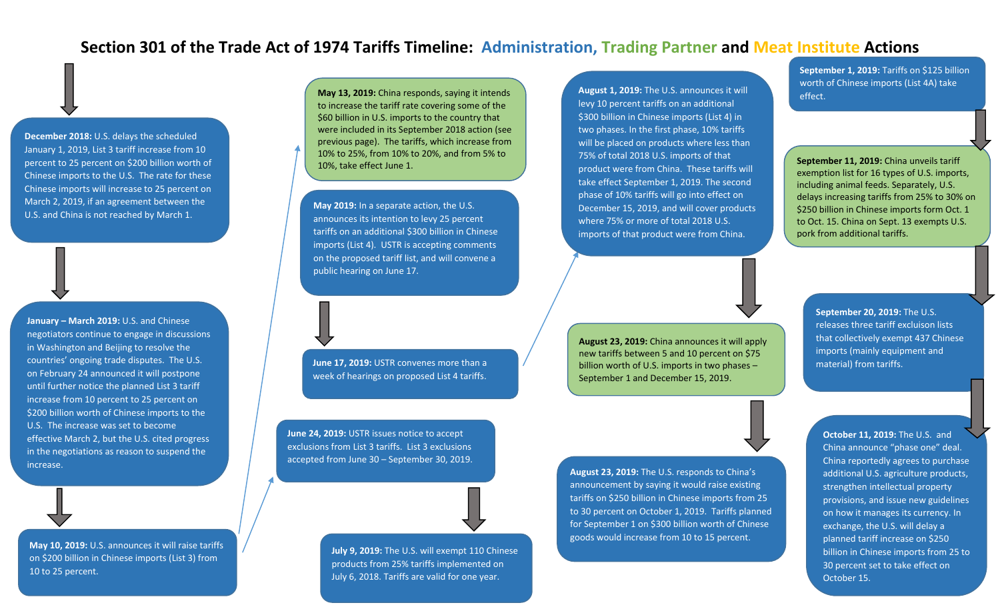**December 2018:** U.S. delays the scheduled January 1, 2019, List 3 tariff increase from 10 percent to 25 percent on \$200 billion worth of Chinese imports to the U.S. The rate for these Chinese imports will increase to 25 percent on March 2, 2019, if an agreement between the U.S. and China is not reached by March 1.

**January – March 2019:** U.S. and Chinese negotiators continue to engage in discussions in Washington and Beijing to resolve the countries' ongoing trade disputes. The U.S. on February 24 announced it will postpone until further notice the planned List 3 tariff increase from 10 percent to 25 percent on \$200 billion worth of Chinese imports to the U.S. The increase was set to become effective March 2, but the U.S. cited progress in the negotiations as reason to suspend the increase.

**May 10, 2019:** U.S. announces it will raise tariffs on \$200 billion in Chinese imports (List 3) from 10 to 25 percent.

**May 13, 2019:** China responds, saying it intends to increase the tariff rate covering some of the \$60 billion in U.S. imports to the country that were included in its September 2018 action (see previous page). The tariffs, which increase from 10% to 25%, from 10% to 20%, and from 5% to 10%, take effect June 1.

**May 2019:** In a separate action, the U.S. announces its intention to levy 25 percent tariffs on an additional \$300 billion in Chinese imports (List 4). USTR is accepting comments on the proposed tariff list, and will convene a public hearing on June 17.

**June 17, 2019:** USTR convenes more than a week of hearings on proposed List 4 tariffs.

> **July 9, 2019:** The U.S. will exempt 110 Chinese products from 25% tariffs implemented on July 6, 2018. Tariffs are valid for one year.

**June 24, 2019:** USTR issues notice to accept exclusions from List 3 tariffs. List 3 exclusions accepted from June 30 – September 30, 2019.

**August 1, 2019:** The U.S. announces it will levy 10 percent tariffs on an additional \$300 billion in Chinese imports (List 4) in two phases. In the first phase, 10% tariffs will be placed on products where less than 75% of total 2018 U.S. imports of that product were from China. These tariffs will take effect September 1, 2019. The second phase of 10% tariffs will go into effect on December 15, 2019, and will cover products where 75% or more of total 2018 U.S. imports of that product were from China.

**September 1, 2019:** Tariffs on \$125 billion worth of Chinese imports (List 4A) take effect.

**September 11, 2019:** China unveils tariff exemption list for 16 types of U.S. imports, including animal feeds. Separately, U.S. delays increasing tariffs from 25% to 30% on \$250 billion in Chinese imports form Oct. 1 to Oct. 15. China on Sept. 13 exempts U.S. pork from additional tariffs.

**August 23, 2019:** China announces it will apply new tariffs between 5 and 10 percent on \$75 billion worth of U.S. imports in two phases – September 1 and December 15, 2019.

**August 23, 2019:** The U.S. responds to China's announcement by saying it would raise existing tariffs on \$250 billion in Chinese imports from 25 to 30 percent on October 1, 2019. Tariffs planned for September 1 on \$300 billion worth of Chinese goods would increase from 10 to 15 percent.

**September 20, 2019:** The U.S. releases three tariff excluison lists that collectively exempt 437 Chinese imports (mainly equipment and material) from tariffs.

**October 11, 2019:** The U.S. and China announce "phase one" deal. China reportedly agrees to purchase additional U.S. agriculture products, strengthen intellectual property provisions, and issue new guidelines on how it manages its currency. In exchange, the U.S. will delay a planned tariff increase on \$250 billion in Chinese imports from 25 to 30 percent set to take effect on October 15.